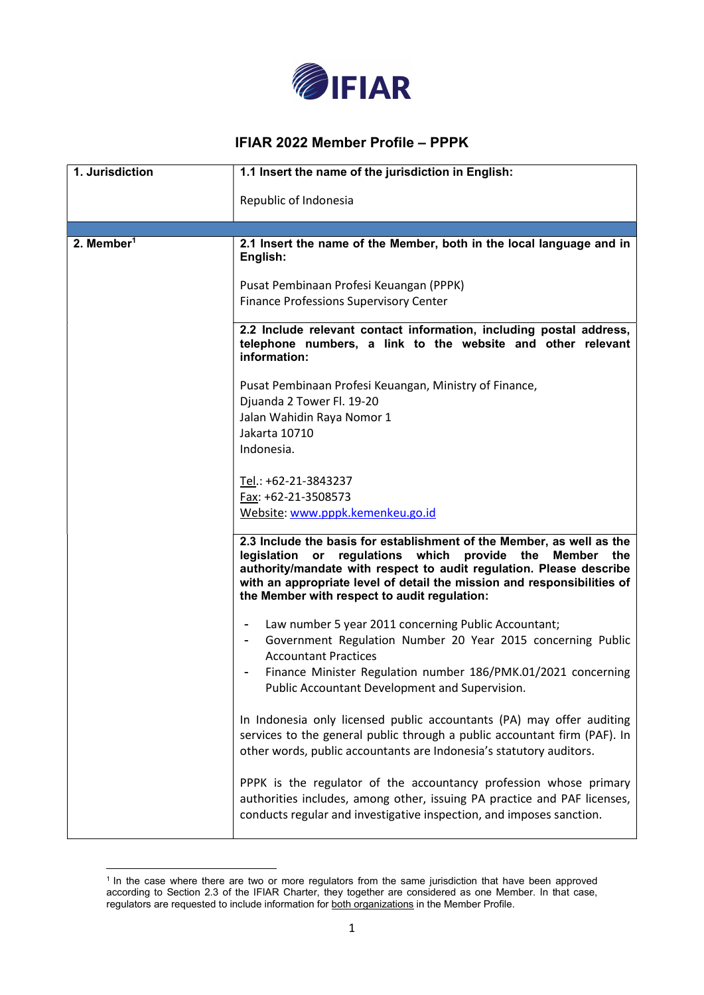

## IFIAR 2022 Member Profile – PPPK

| 1. Jurisdiction        | 1.1 Insert the name of the jurisdiction in English:                                                                                                                                                                                                                                                                                                |
|------------------------|----------------------------------------------------------------------------------------------------------------------------------------------------------------------------------------------------------------------------------------------------------------------------------------------------------------------------------------------------|
|                        | Republic of Indonesia                                                                                                                                                                                                                                                                                                                              |
|                        |                                                                                                                                                                                                                                                                                                                                                    |
| 2. Member <sup>1</sup> | 2.1 Insert the name of the Member, both in the local language and in<br>English:                                                                                                                                                                                                                                                                   |
|                        | Pusat Pembinaan Profesi Keuangan (PPPK)<br><b>Finance Professions Supervisory Center</b>                                                                                                                                                                                                                                                           |
|                        | 2.2 Include relevant contact information, including postal address,<br>telephone numbers, a link to the website and other relevant<br>information:                                                                                                                                                                                                 |
|                        | Pusat Pembinaan Profesi Keuangan, Ministry of Finance,                                                                                                                                                                                                                                                                                             |
|                        | Djuanda 2 Tower Fl. 19-20                                                                                                                                                                                                                                                                                                                          |
|                        | Jalan Wahidin Raya Nomor 1<br>Jakarta 10710                                                                                                                                                                                                                                                                                                        |
|                        | Indonesia.                                                                                                                                                                                                                                                                                                                                         |
|                        |                                                                                                                                                                                                                                                                                                                                                    |
|                        | Tel.: +62-21-3843237                                                                                                                                                                                                                                                                                                                               |
|                        | Fax: +62-21-3508573                                                                                                                                                                                                                                                                                                                                |
|                        | Website: www.pppk.kemenkeu.go.id                                                                                                                                                                                                                                                                                                                   |
|                        | 2.3 Include the basis for establishment of the Member, as well as the<br>legislation or regulations which<br>provide the<br><b>Member</b><br>the<br>authority/mandate with respect to audit regulation. Please describe<br>with an appropriate level of detail the mission and responsibilities of<br>the Member with respect to audit regulation: |
|                        | Law number 5 year 2011 concerning Public Accountant;<br>۰<br>Government Regulation Number 20 Year 2015 concerning Public<br>$\blacksquare$<br><b>Accountant Practices</b><br>Finance Minister Regulation number 186/PMK.01/2021 concerning<br><b>Public Accountant Development and Supervision.</b>                                                |
|                        | In Indonesia only licensed public accountants (PA) may offer auditing<br>services to the general public through a public accountant firm (PAF). In<br>other words, public accountants are Indonesia's statutory auditors.                                                                                                                          |
|                        | PPPK is the regulator of the accountancy profession whose primary<br>authorities includes, among other, issuing PA practice and PAF licenses,<br>conducts regular and investigative inspection, and imposes sanction.                                                                                                                              |

<sup>&</sup>lt;sup>1</sup> In the case where there are two or more regulators from the same jurisdiction that have been approved according to Section 2.3 of the IFIAR Charter, they together are considered as one Member. In that case, regulators are requested to include information for both organizations in the Member Profile.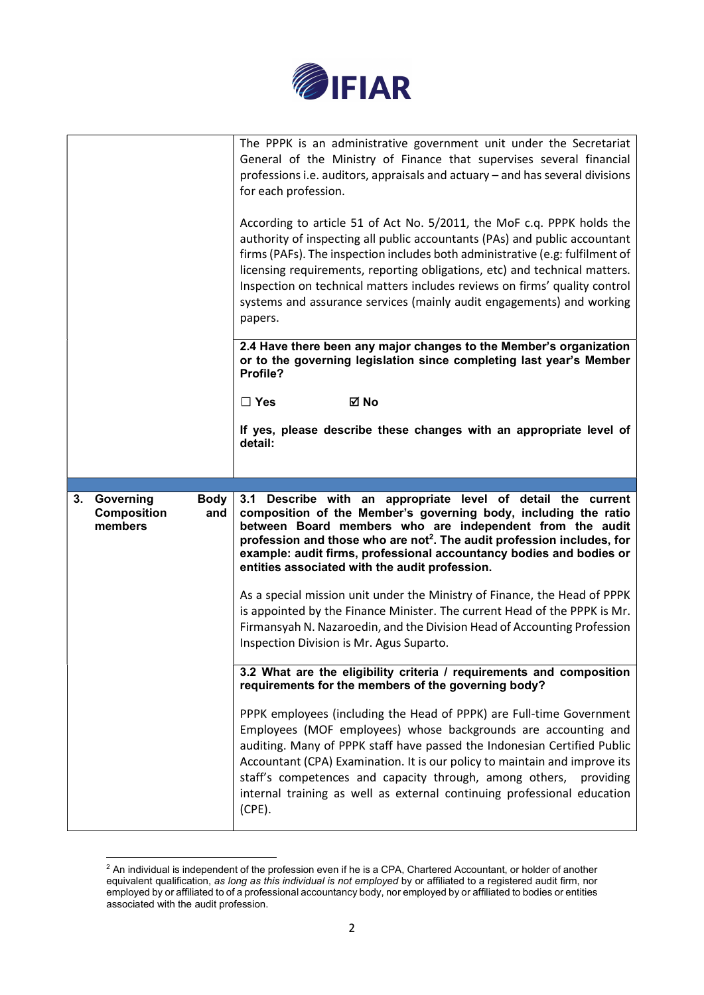

|                                                                     | The PPPK is an administrative government unit under the Secretariat<br>General of the Ministry of Finance that supervises several financial<br>professions i.e. auditors, appraisals and actuary - and has several divisions<br>for each profession.<br>According to article 51 of Act No. 5/2011, the MoF c.q. PPPK holds the<br>authority of inspecting all public accountants (PAs) and public accountant<br>firms (PAFs). The inspection includes both administrative (e.g: fulfilment of<br>licensing requirements, reporting obligations, etc) and technical matters.<br>Inspection on technical matters includes reviews on firms' quality control<br>systems and assurance services (mainly audit engagements) and working<br>papers.<br>2.4 Have there been any major changes to the Member's organization<br>or to the governing legislation since completing last year's Member<br>Profile? |
|---------------------------------------------------------------------|--------------------------------------------------------------------------------------------------------------------------------------------------------------------------------------------------------------------------------------------------------------------------------------------------------------------------------------------------------------------------------------------------------------------------------------------------------------------------------------------------------------------------------------------------------------------------------------------------------------------------------------------------------------------------------------------------------------------------------------------------------------------------------------------------------------------------------------------------------------------------------------------------------|
|                                                                     | ⊠ No<br>$\Box$ Yes                                                                                                                                                                                                                                                                                                                                                                                                                                                                                                                                                                                                                                                                                                                                                                                                                                                                                     |
|                                                                     | If yes, please describe these changes with an appropriate level of<br>detail:                                                                                                                                                                                                                                                                                                                                                                                                                                                                                                                                                                                                                                                                                                                                                                                                                          |
|                                                                     |                                                                                                                                                                                                                                                                                                                                                                                                                                                                                                                                                                                                                                                                                                                                                                                                                                                                                                        |
|                                                                     |                                                                                                                                                                                                                                                                                                                                                                                                                                                                                                                                                                                                                                                                                                                                                                                                                                                                                                        |
| 3. Governing<br><b>Body</b><br><b>Composition</b><br>and<br>members | 3.1 Describe with an appropriate level of detail the current<br>composition of the Member's governing body, including the ratio<br>between Board members who are independent from the audit<br>profession and those who are not <sup>2</sup> . The audit profession includes, for<br>example: audit firms, professional accountancy bodies and bodies or<br>entities associated with the audit profession.                                                                                                                                                                                                                                                                                                                                                                                                                                                                                             |
|                                                                     | As a special mission unit under the Ministry of Finance, the Head of PPPK<br>is appointed by the Finance Minister. The current Head of the PPPK is Mr.<br>Firmansyah N. Nazaroedin, and the Division Head of Accounting Profession<br>Inspection Division is Mr. Agus Suparto.                                                                                                                                                                                                                                                                                                                                                                                                                                                                                                                                                                                                                         |
|                                                                     | 3.2 What are the eligibility criteria / requirements and composition<br>requirements for the members of the governing body?                                                                                                                                                                                                                                                                                                                                                                                                                                                                                                                                                                                                                                                                                                                                                                            |

 $^2$  An individual is independent of the profession even if he is a CPA, Chartered Accountant, or holder of another equivalent qualification, as long as this individual is not employed by or affiliated to a registered audit firm, nor employed by or affiliated to of a professional accountancy body, nor employed by or affiliated to bodies or entities associated with the audit profession.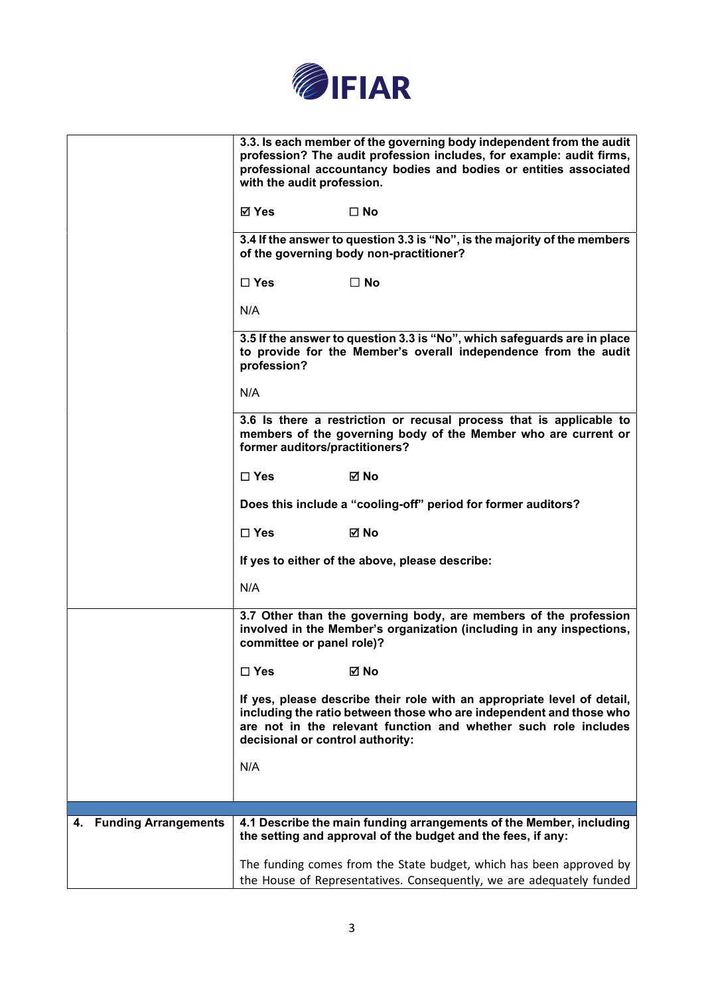

|                         | 3.3. Is each member of the governing body independent from the audit<br>profession? The audit profession includes, for example: audit firms,<br>professional accountancy bodies and bodies or entities associated<br>with the audit profession.       |
|-------------------------|-------------------------------------------------------------------------------------------------------------------------------------------------------------------------------------------------------------------------------------------------------|
|                         | ⊠ Yes<br>$\square$ No                                                                                                                                                                                                                                 |
|                         | 3.4 If the answer to question 3.3 is "No", is the majority of the members<br>of the governing body non-practitioner?                                                                                                                                  |
|                         | $\Box$ Yes<br>$\square$ No                                                                                                                                                                                                                            |
|                         | N/A                                                                                                                                                                                                                                                   |
|                         | 3.5 If the answer to question 3.3 is "No", which safeguards are in place<br>to provide for the Member's overall independence from the audit<br>profession?                                                                                            |
|                         | N/A                                                                                                                                                                                                                                                   |
|                         | 3.6 Is there a restriction or recusal process that is applicable to<br>members of the governing body of the Member who are current or<br>former auditors/practitioners?                                                                               |
|                         | $\Box$ Yes<br>⊠ No                                                                                                                                                                                                                                    |
|                         | Does this include a "cooling-off" period for former auditors?                                                                                                                                                                                         |
|                         | $\square$ Yes<br>⊠ No                                                                                                                                                                                                                                 |
|                         | If yes to either of the above, please describe:                                                                                                                                                                                                       |
|                         | N/A                                                                                                                                                                                                                                                   |
|                         | 3.7 Other than the governing body, are members of the profession<br>involved in the Member's organization (including in any inspections,<br>committee or panel role)?                                                                                 |
|                         | $\square$ Yes<br>⊠ No                                                                                                                                                                                                                                 |
|                         | If yes, please describe their role with an appropriate level of detail,<br>including the ratio between those who are independent and those who<br>are not in the relevant function and whether such role includes<br>decisional or control authority: |
|                         | N/A                                                                                                                                                                                                                                                   |
|                         |                                                                                                                                                                                                                                                       |
| 4. Funding Arrangements | 4.1 Describe the main funding arrangements of the Member, including                                                                                                                                                                                   |
|                         | the setting and approval of the budget and the fees, if any:                                                                                                                                                                                          |
|                         | The funding comes from the State budget, which has been approved by                                                                                                                                                                                   |
|                         | the House of Representatives. Consequently, we are adequately funded                                                                                                                                                                                  |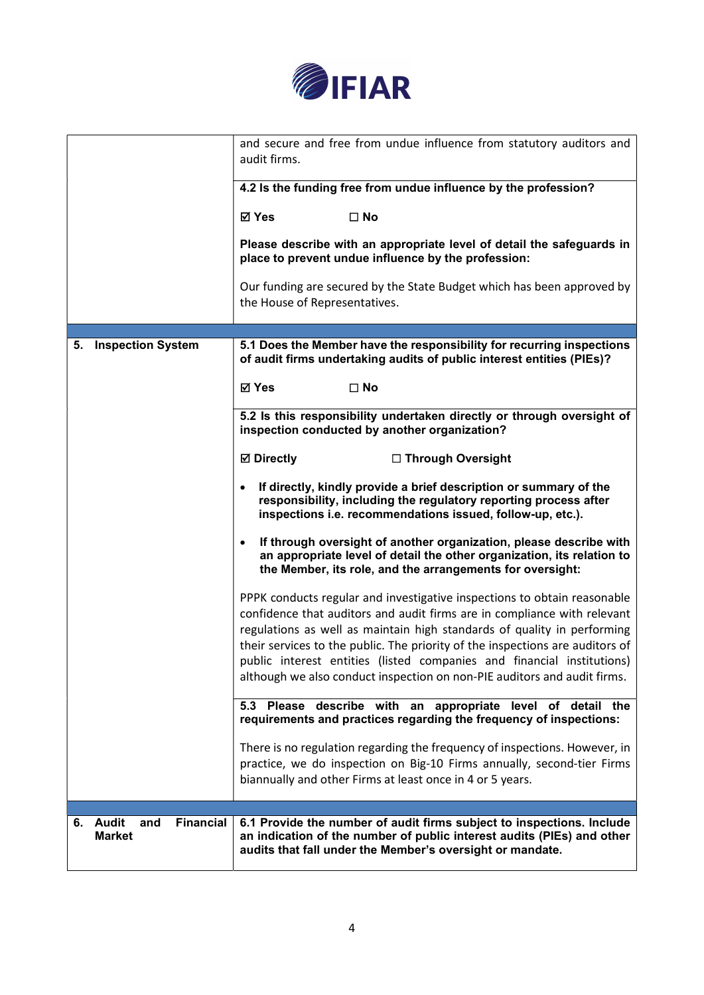

|                                                                | and secure and free from undue influence from statutory auditors and<br>audit firms.                                                                                                                                                                                                                                                                                                                                                                                   |
|----------------------------------------------------------------|------------------------------------------------------------------------------------------------------------------------------------------------------------------------------------------------------------------------------------------------------------------------------------------------------------------------------------------------------------------------------------------------------------------------------------------------------------------------|
|                                                                | 4.2 Is the funding free from undue influence by the profession?                                                                                                                                                                                                                                                                                                                                                                                                        |
|                                                                | ⊠ Yes<br>$\square$ No                                                                                                                                                                                                                                                                                                                                                                                                                                                  |
|                                                                | Please describe with an appropriate level of detail the safeguards in<br>place to prevent undue influence by the profession:                                                                                                                                                                                                                                                                                                                                           |
|                                                                | Our funding are secured by the State Budget which has been approved by<br>the House of Representatives.                                                                                                                                                                                                                                                                                                                                                                |
|                                                                |                                                                                                                                                                                                                                                                                                                                                                                                                                                                        |
| <b>Inspection System</b><br>5.                                 | 5.1 Does the Member have the responsibility for recurring inspections<br>of audit firms undertaking audits of public interest entities (PIEs)?                                                                                                                                                                                                                                                                                                                         |
|                                                                | <b>⊠</b> Yes<br>$\square$ No                                                                                                                                                                                                                                                                                                                                                                                                                                           |
|                                                                | 5.2 Is this responsibility undertaken directly or through oversight of<br>inspection conducted by another organization?                                                                                                                                                                                                                                                                                                                                                |
|                                                                | <b>Ø</b> Directly<br>□ Through Oversight                                                                                                                                                                                                                                                                                                                                                                                                                               |
|                                                                | If directly, kindly provide a brief description or summary of the<br>responsibility, including the regulatory reporting process after<br>inspections i.e. recommendations issued, follow-up, etc.).                                                                                                                                                                                                                                                                    |
|                                                                | If through oversight of another organization, please describe with<br>$\bullet$<br>an appropriate level of detail the other organization, its relation to<br>the Member, its role, and the arrangements for oversight:                                                                                                                                                                                                                                                 |
|                                                                | PPPK conducts regular and investigative inspections to obtain reasonable<br>confidence that auditors and audit firms are in compliance with relevant<br>regulations as well as maintain high standards of quality in performing<br>their services to the public. The priority of the inspections are auditors of<br>public interest entities (listed companies and financial institutions)<br>although we also conduct inspection on non-PIE auditors and audit firms. |
|                                                                | 5.3 Please describe with an appropriate level of detail the<br>requirements and practices regarding the frequency of inspections:                                                                                                                                                                                                                                                                                                                                      |
|                                                                | There is no regulation regarding the frequency of inspections. However, in<br>practice, we do inspection on Big-10 Firms annually, second-tier Firms<br>biannually and other Firms at least once in 4 or 5 years.                                                                                                                                                                                                                                                      |
|                                                                |                                                                                                                                                                                                                                                                                                                                                                                                                                                                        |
| <b>Audit</b><br><b>Financial</b><br>6.<br>and<br><b>Market</b> | 6.1 Provide the number of audit firms subject to inspections. Include<br>an indication of the number of public interest audits (PIEs) and other<br>audits that fall under the Member's oversight or mandate.                                                                                                                                                                                                                                                           |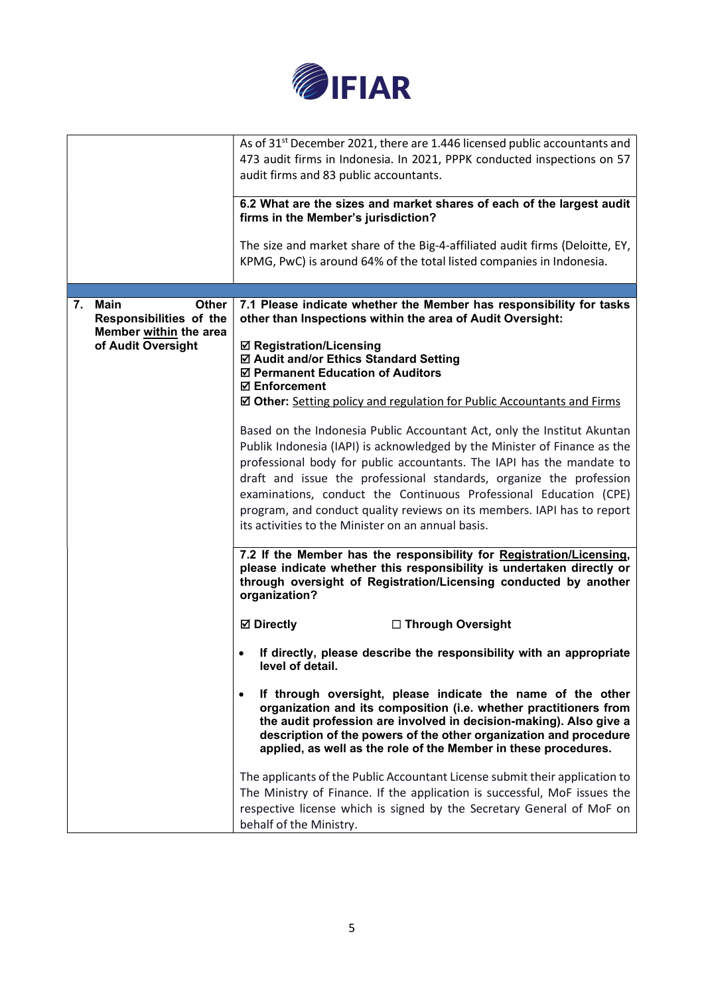

|                                                   | As of 31 <sup>st</sup> December 2021, there are 1.446 licensed public accountants and                                                                                                                                                                                                                                                                                                                                                                                                                                                                                                                                                                       |
|---------------------------------------------------|-------------------------------------------------------------------------------------------------------------------------------------------------------------------------------------------------------------------------------------------------------------------------------------------------------------------------------------------------------------------------------------------------------------------------------------------------------------------------------------------------------------------------------------------------------------------------------------------------------------------------------------------------------------|
|                                                   | 473 audit firms in Indonesia. In 2021, PPPK conducted inspections on 57                                                                                                                                                                                                                                                                                                                                                                                                                                                                                                                                                                                     |
|                                                   | audit firms and 83 public accountants.                                                                                                                                                                                                                                                                                                                                                                                                                                                                                                                                                                                                                      |
|                                                   |                                                                                                                                                                                                                                                                                                                                                                                                                                                                                                                                                                                                                                                             |
|                                                   | 6.2 What are the sizes and market shares of each of the largest audit<br>firms in the Member's jurisdiction?                                                                                                                                                                                                                                                                                                                                                                                                                                                                                                                                                |
|                                                   | The size and market share of the Big-4-affiliated audit firms (Deloitte, EY,                                                                                                                                                                                                                                                                                                                                                                                                                                                                                                                                                                                |
|                                                   | KPMG, PwC) is around 64% of the total listed companies in Indonesia.                                                                                                                                                                                                                                                                                                                                                                                                                                                                                                                                                                                        |
|                                                   |                                                                                                                                                                                                                                                                                                                                                                                                                                                                                                                                                                                                                                                             |
|                                                   |                                                                                                                                                                                                                                                                                                                                                                                                                                                                                                                                                                                                                                                             |
| Main<br>7.<br>Other                               | 7.1 Please indicate whether the Member has responsibility for tasks                                                                                                                                                                                                                                                                                                                                                                                                                                                                                                                                                                                         |
| Responsibilities of the<br>Member within the area | other than Inspections within the area of Audit Oversight:                                                                                                                                                                                                                                                                                                                                                                                                                                                                                                                                                                                                  |
| of Audit Oversight                                | <b>Ø Registration/Licensing</b>                                                                                                                                                                                                                                                                                                                                                                                                                                                                                                                                                                                                                             |
|                                                   | ☑ Audit and/or Ethics Standard Setting                                                                                                                                                                                                                                                                                                                                                                                                                                                                                                                                                                                                                      |
|                                                   | ☑ Permanent Education of Auditors                                                                                                                                                                                                                                                                                                                                                                                                                                                                                                                                                                                                                           |
|                                                   | <b>☑ Enforcement</b>                                                                                                                                                                                                                                                                                                                                                                                                                                                                                                                                                                                                                                        |
|                                                   | ☑ Other: Setting policy and regulation for Public Accountants and Firms                                                                                                                                                                                                                                                                                                                                                                                                                                                                                                                                                                                     |
|                                                   | Based on the Indonesia Public Accountant Act, only the Institut Akuntan<br>Publik Indonesia (IAPI) is acknowledged by the Minister of Finance as the<br>professional body for public accountants. The IAPI has the mandate to<br>draft and issue the professional standards, organize the profession<br>examinations, conduct the Continuous Professional Education (CPE)<br>program, and conduct quality reviews on its members. IAPI has to report<br>its activities to the Minister on an annual basis.<br>7.2 If the Member has the responsibility for Registration/Licensing,<br>please indicate whether this responsibility is undertaken directly or |
|                                                   | through oversight of Registration/Licensing conducted by another<br>organization?                                                                                                                                                                                                                                                                                                                                                                                                                                                                                                                                                                           |
|                                                   | <b>Ø</b> Directly<br>□ Through Oversight                                                                                                                                                                                                                                                                                                                                                                                                                                                                                                                                                                                                                    |
|                                                   | If directly, please describe the responsibility with an appropriate<br>level of detail.                                                                                                                                                                                                                                                                                                                                                                                                                                                                                                                                                                     |
|                                                   | If through oversight, please indicate the name of the other<br>$\bullet$<br>organization and its composition (i.e. whether practitioners from<br>the audit profession are involved in decision-making). Also give a<br>description of the powers of the other organization and procedure<br>applied, as well as the role of the Member in these procedures.                                                                                                                                                                                                                                                                                                 |
|                                                   | The applicants of the Public Accountant License submit their application to                                                                                                                                                                                                                                                                                                                                                                                                                                                                                                                                                                                 |
|                                                   | The Ministry of Finance. If the application is successful, MoF issues the                                                                                                                                                                                                                                                                                                                                                                                                                                                                                                                                                                                   |
|                                                   | respective license which is signed by the Secretary General of MoF on                                                                                                                                                                                                                                                                                                                                                                                                                                                                                                                                                                                       |
|                                                   | behalf of the Ministry.                                                                                                                                                                                                                                                                                                                                                                                                                                                                                                                                                                                                                                     |
|                                                   |                                                                                                                                                                                                                                                                                                                                                                                                                                                                                                                                                                                                                                                             |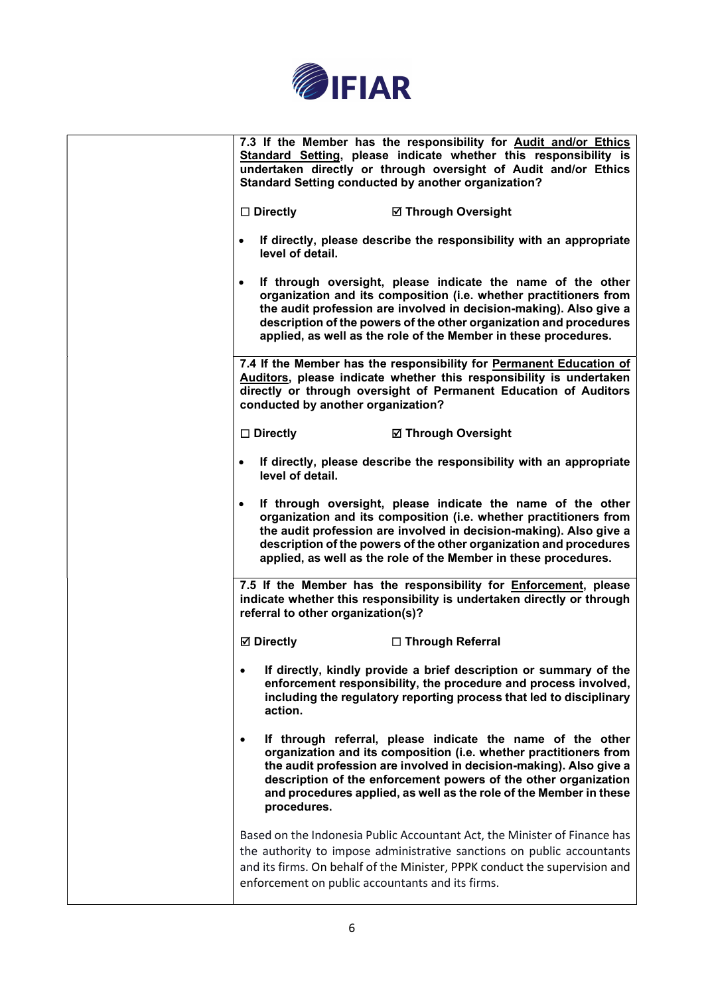

| 7.3 If the Member has the responsibility for Audit and/or Ethics<br>Standard Setting, please indicate whether this responsibility is<br>undertaken directly or through oversight of Audit and/or Ethics<br><b>Standard Setting conducted by another organization?</b>                                                                                                      |
|----------------------------------------------------------------------------------------------------------------------------------------------------------------------------------------------------------------------------------------------------------------------------------------------------------------------------------------------------------------------------|
| $\square$ Directly<br><b>Ø Through Oversight</b>                                                                                                                                                                                                                                                                                                                           |
| If directly, please describe the responsibility with an appropriate<br>$\bullet$<br>level of detail.                                                                                                                                                                                                                                                                       |
| If through oversight, please indicate the name of the other<br>$\bullet$<br>organization and its composition (i.e. whether practitioners from<br>the audit profession are involved in decision-making). Also give a<br>description of the powers of the other organization and procedures<br>applied, as well as the role of the Member in these procedures.               |
| 7.4 If the Member has the responsibility for Permanent Education of<br>Auditors, please indicate whether this responsibility is undertaken<br>directly or through oversight of Permanent Education of Auditors<br>conducted by another organization?                                                                                                                       |
| $\square$ Directly<br><b>Ø Through Oversight</b>                                                                                                                                                                                                                                                                                                                           |
| If directly, please describe the responsibility with an appropriate<br>$\bullet$<br>level of detail.                                                                                                                                                                                                                                                                       |
| If through oversight, please indicate the name of the other<br>$\bullet$<br>organization and its composition (i.e. whether practitioners from<br>the audit profession are involved in decision-making). Also give a<br>description of the powers of the other organization and procedures<br>applied, as well as the role of the Member in these procedures.               |
| 7.5 If the Member has the responsibility for <b>Enforcement</b> , please<br>indicate whether this responsibility is undertaken directly or through<br>referral to other organization(s)?                                                                                                                                                                                   |
| <b>Ø</b> Directly<br>□ Through Referral                                                                                                                                                                                                                                                                                                                                    |
| If directly, kindly provide a brief description or summary of the<br>enforcement responsibility, the procedure and process involved,<br>including the regulatory reporting process that led to disciplinary<br>action.                                                                                                                                                     |
| If through referral, please indicate the name of the other<br>$\bullet$<br>organization and its composition (i.e. whether practitioners from<br>the audit profession are involved in decision-making). Also give a<br>description of the enforcement powers of the other organization<br>and procedures applied, as well as the role of the Member in these<br>procedures. |
| Based on the Indonesia Public Accountant Act, the Minister of Finance has<br>the authority to impose administrative sanctions on public accountants<br>and its firms. On behalf of the Minister, PPPK conduct the supervision and<br>enforcement on public accountants and its firms.                                                                                      |